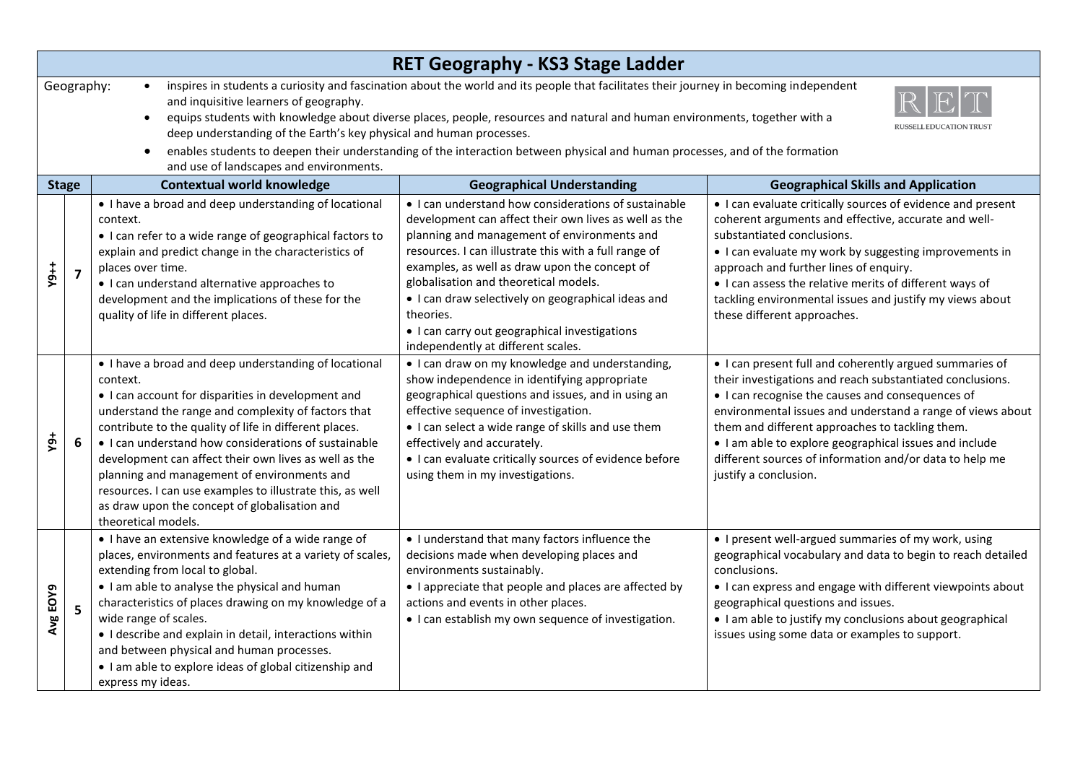| <b>RET Geography - KS3 Stage Ladder</b>                                                                                                                                                                                                                                                                                                                                                                                                                                                                                                                                                                                                    |                |                                                                                                                                                                                                                                                                                                                                                                                                                                                                                                                                               |                                                                                                                                                                                                                                                                                                                                                                                                                                                                           |                                                                                                                                                                                                                                                                                                                                                                                                                                         |  |  |  |
|--------------------------------------------------------------------------------------------------------------------------------------------------------------------------------------------------------------------------------------------------------------------------------------------------------------------------------------------------------------------------------------------------------------------------------------------------------------------------------------------------------------------------------------------------------------------------------------------------------------------------------------------|----------------|-----------------------------------------------------------------------------------------------------------------------------------------------------------------------------------------------------------------------------------------------------------------------------------------------------------------------------------------------------------------------------------------------------------------------------------------------------------------------------------------------------------------------------------------------|---------------------------------------------------------------------------------------------------------------------------------------------------------------------------------------------------------------------------------------------------------------------------------------------------------------------------------------------------------------------------------------------------------------------------------------------------------------------------|-----------------------------------------------------------------------------------------------------------------------------------------------------------------------------------------------------------------------------------------------------------------------------------------------------------------------------------------------------------------------------------------------------------------------------------------|--|--|--|
| Geography:<br>inspires in students a curiosity and fascination about the world and its people that facilitates their journey in becoming independent<br>and inquisitive learners of geography.<br>equips students with knowledge about diverse places, people, resources and natural and human environments, together with a<br>$\bullet$<br><b>RUSSELL EDUCATION TRUST</b><br>deep understanding of the Earth's key physical and human processes.<br>enables students to deepen their understanding of the interaction between physical and human processes, and of the formation<br>$\bullet$<br>and use of landscapes and environments. |                |                                                                                                                                                                                                                                                                                                                                                                                                                                                                                                                                               |                                                                                                                                                                                                                                                                                                                                                                                                                                                                           |                                                                                                                                                                                                                                                                                                                                                                                                                                         |  |  |  |
| <b>Stage</b>                                                                                                                                                                                                                                                                                                                                                                                                                                                                                                                                                                                                                               |                | <b>Contextual world knowledge</b>                                                                                                                                                                                                                                                                                                                                                                                                                                                                                                             | <b>Geographical Understanding</b>                                                                                                                                                                                                                                                                                                                                                                                                                                         | <b>Geographical Skills and Application</b>                                                                                                                                                                                                                                                                                                                                                                                              |  |  |  |
| $\frac{1}{2}$                                                                                                                                                                                                                                                                                                                                                                                                                                                                                                                                                                                                                              | $\overline{7}$ | • I have a broad and deep understanding of locational<br>context.<br>• I can refer to a wide range of geographical factors to<br>explain and predict change in the characteristics of<br>places over time.<br>• I can understand alternative approaches to<br>development and the implications of these for the<br>quality of life in different places.                                                                                                                                                                                       | • I can understand how considerations of sustainable<br>development can affect their own lives as well as the<br>planning and management of environments and<br>resources. I can illustrate this with a full range of<br>examples, as well as draw upon the concept of<br>globalisation and theoretical models.<br>• I can draw selectively on geographical ideas and<br>theories.<br>• I can carry out geographical investigations<br>independently at different scales. | • I can evaluate critically sources of evidence and present<br>coherent arguments and effective, accurate and well-<br>substantiated conclusions.<br>• I can evaluate my work by suggesting improvements in<br>approach and further lines of enquiry.<br>• I can assess the relative merits of different ways of<br>tackling environmental issues and justify my views about<br>these different approaches.                             |  |  |  |
| ត្                                                                                                                                                                                                                                                                                                                                                                                                                                                                                                                                                                                                                                         | 6              | • I have a broad and deep understanding of locational<br>context.<br>• I can account for disparities in development and<br>understand the range and complexity of factors that<br>contribute to the quality of life in different places.<br>• I can understand how considerations of sustainable<br>development can affect their own lives as well as the<br>planning and management of environments and<br>resources. I can use examples to illustrate this, as well<br>as draw upon the concept of globalisation and<br>theoretical models. | • I can draw on my knowledge and understanding,<br>show independence in identifying appropriate<br>geographical questions and issues, and in using an<br>effective sequence of investigation.<br>• I can select a wide range of skills and use them<br>effectively and accurately.<br>• I can evaluate critically sources of evidence before<br>using them in my investigations.                                                                                          | • I can present full and coherently argued summaries of<br>their investigations and reach substantiated conclusions.<br>• I can recognise the causes and consequences of<br>environmental issues and understand a range of views about<br>them and different approaches to tackling them.<br>. I am able to explore geographical issues and include<br>different sources of information and/or data to help me<br>justify a conclusion. |  |  |  |
| Avg EOY9                                                                                                                                                                                                                                                                                                                                                                                                                                                                                                                                                                                                                                   | 5              | . I have an extensive knowledge of a wide range of<br>places, environments and features at a variety of scales,<br>extending from local to global.<br>• I am able to analyse the physical and human<br>characteristics of places drawing on my knowledge of a<br>wide range of scales.<br>• I describe and explain in detail, interactions within<br>and between physical and human processes.<br>. I am able to explore ideas of global citizenship and<br>express my ideas.                                                                 | • I understand that many factors influence the<br>decisions made when developing places and<br>environments sustainably.<br>• I appreciate that people and places are affected by<br>actions and events in other places.<br>• I can establish my own sequence of investigation.                                                                                                                                                                                           | • I present well-argued summaries of my work, using<br>geographical vocabulary and data to begin to reach detailed<br>conclusions.<br>• I can express and engage with different viewpoints about<br>geographical questions and issues.<br>• I am able to justify my conclusions about geographical<br>issues using some data or examples to support.                                                                                    |  |  |  |